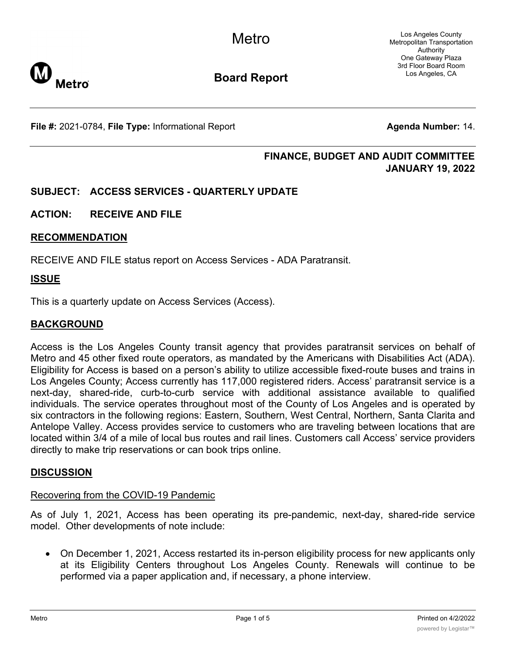**Metro** 

Los Angeles County Metropolitan Transportation Authority One Gateway Plaza 3rd Floor Board Room Los Angeles, CA

# **Board Report**

**File #:** 2021-0784, File Type: Informational Report **Agents Agenda Number:** 14.

# **FINANCE, BUDGET AND AUDIT COMMITTEE JANUARY 19, 2022**

# **SUBJECT: ACCESS SERVICES - QUARTERLY UPDATE**

# **ACTION: RECEIVE AND FILE**

# **RECOMMENDATION**

RECEIVE AND FILE status report on Access Services - ADA Paratransit.

#### **ISSUE**

This is a quarterly update on Access Services (Access).

### **BACKGROUND**

Access is the Los Angeles County transit agency that provides paratransit services on behalf of Metro and 45 other fixed route operators, as mandated by the Americans with Disabilities Act (ADA). Eligibility for Access is based on a person's ability to utilize accessible fixed-route buses and trains in Los Angeles County; Access currently has 117,000 registered riders. Access' paratransit service is a next-day, shared-ride, curb-to-curb service with additional assistance available to qualified individuals. The service operates throughout most of the County of Los Angeles and is operated by six contractors in the following regions: Eastern, Southern, West Central, Northern, Santa Clarita and Antelope Valley. Access provides service to customers who are traveling between locations that are located within 3/4 of a mile of local bus routes and rail lines. Customers call Access' service providers directly to make trip reservations or can book trips online.

#### **DISCUSSION**

# Recovering from the COVID-19 Pandemic

As of July 1, 2021, Access has been operating its pre-pandemic, next-day, shared-ride service model. Other developments of note include:

· On December 1, 2021, Access restarted its in-person eligibility process for new applicants only at its Eligibility Centers throughout Los Angeles County. Renewals will continue to be performed via a paper application and, if necessary, a phone interview.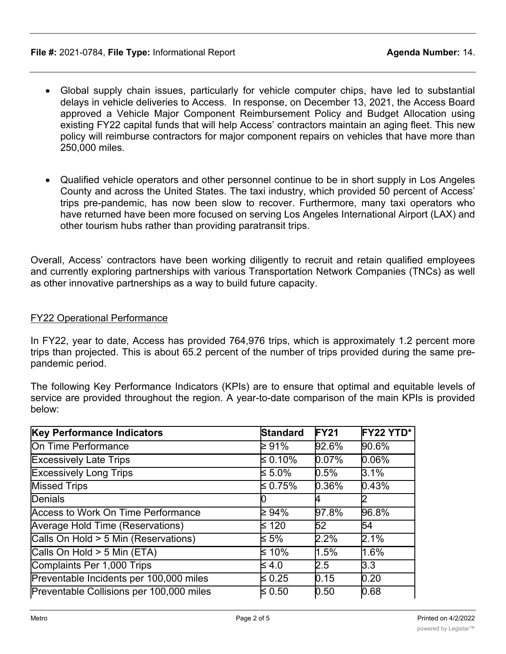#### **File #:** 2021-0784, File Type: Informational Report **Agent Agent Agenda Number:** 14.

- Global supply chain issues, particularly for vehicle computer chips, have led to substantial delays in vehicle deliveries to Access. In response, on December 13, 2021, the Access Board approved a Vehicle Major Component Reimbursement Policy and Budget Allocation using existing FY22 capital funds that will help Access' contractors maintain an aging fleet. This new policy will reimburse contractors for major component repairs on vehicles that have more than 250,000 miles.
- · Qualified vehicle operators and other personnel continue to be in short supply in Los Angeles County and across the United States. The taxi industry, which provided 50 percent of Access' trips pre-pandemic, has now been slow to recover. Furthermore, many taxi operators who have returned have been more focused on serving Los Angeles International Airport (LAX) and other tourism hubs rather than providing paratransit trips.

Overall, Access' contractors have been working diligently to recruit and retain qualified employees and currently exploring partnerships with various Transportation Network Companies (TNCs) as well as other innovative partnerships as a way to build future capacity.

# FY22 Operational Performance

In FY22, year to date, Access has provided 764,976 trips, which is approximately 1.2 percent more trips than projected. This is about 65.2 percent of the number of trips provided during the same prepandemic period.

The following Key Performance Indicators (KPIs) are to ensure that optimal and equitable levels of service are provided throughout the region. A year-to-date comparison of the main KPIs is provided below:

| Key Performance Indicators                | <b>Standard</b> | FY21  | FY22 YTD* |
|-------------------------------------------|-----------------|-------|-----------|
| On Time Performance                       | ≥ 91%           | 92.6% | 90.6%     |
| <b>Excessively Late Trips</b>             | ≤ 0.10%         | 0.07% | $0.06\%$  |
| <b>Excessively Long Trips</b>             | $\leq 5.0\%$    | 0.5%  | 3.1%      |
| <b>Missed Trips</b>                       | ≤ 0.75%         | 0.36% | 0.43%     |
| Denials                                   |                 | 4     |           |
| <b>Access to Work On Time Performance</b> | ≥ 94%           | 97.8% | 96.8%     |
| Average Hold Time (Reservations)          | ≰ 120           | 52    | 54        |
| Calls On Hold > 5 Min (Reservations)      | ≰ 5%            | 2.2%  | 2.1%      |
| Calls On Hold > 5 Min (ETA)               | ≤ 10%           | 1.5%  | 1.6%      |
| Complaints Per 1,000 Trips                | $\leq 4.0$      | 2.5   | 3.3       |
| Preventable Incidents per 100,000 miles   | $\leq 0.25$     | 0.15  | 0.20      |
| Preventable Collisions per 100,000 miles  | $\leq 0.50$     | 0.50  | 0.68      |

Miles Between Road Calls ≥ 25,000 64,000 64,000 64,000 64,000 64,000 64,000 64,000 64,000 64,000 65,000 65,000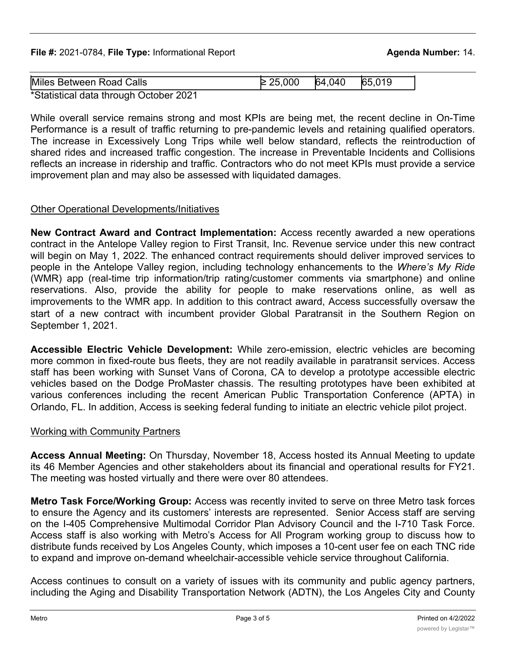**File #:** 2021-0784, File Type: Informational Report **Agenda Number:** 14.

| Miles Between Road Calls               | 25,000 | 64,040 | 65.019 |  |
|----------------------------------------|--------|--------|--------|--|
| *Statistical data through October 2021 |        |        |        |  |

Calls On Hold  $\sim$  5 Min (ETA)  $\sim$  5 Min (ETA)  $\sim$  5 Min (ETA)  $\sim$  5 Min (ETA)  $\sim$  5 Min (ETA)  $\sim$  5 Min (ETA)  $\sim$ 

\*Statistical data through October 2021

While overall service remains strong and most KPIs are being met, the recent decline in On-Time Performance is a result of traffic returning to pre-pandemic levels and retaining qualified operators. The increase in Excessively Long Trips while well below standard, reflects the reintroduction of shared rides and increased traffic congestion. The increase in Preventable Incidents and Collisions reflects an increase in ridership and traffic. Contractors who do not meet KPIs must provide a service improvement plan and may also be assessed with liquidated damages.

# Other Operational Developments/Initiatives

**New Contract Award and Contract Implementation:** Access recently awarded a new operations contract in the Antelope Valley region to First Transit, Inc. Revenue service under this new contract will begin on May 1, 2022. The enhanced contract requirements should deliver improved services to people in the Antelope Valley region, including technology enhancements to the *Where's My Ride* (WMR) app (real-time trip information/trip rating/customer comments via smartphone) and online reservations. Also, provide the ability for people to make reservations online, as well as improvements to the WMR app. In addition to this contract award, Access successfully oversaw the start of a new contract with incumbent provider Global Paratransit in the Southern Region on September 1, 2021.

**Accessible Electric Vehicle Development:** While zero-emission, electric vehicles are becoming more common in fixed-route bus fleets, they are not readily available in paratransit services. Access staff has been working with Sunset Vans of Corona, CA to develop a prototype accessible electric vehicles based on the Dodge ProMaster chassis. The resulting prototypes have been exhibited at various conferences including the recent American Public Transportation Conference (APTA) in Orlando, FL. In addition, Access is seeking federal funding to initiate an electric vehicle pilot project.

# Working with Community Partners

**Access Annual Meeting:** On Thursday, November 18, Access hosted its Annual Meeting to update its 46 Member Agencies and other stakeholders about its financial and operational results for FY21. The meeting was hosted virtually and there were over 80 attendees.

**Metro Task Force/Working Group:** Access was recently invited to serve on three Metro task forces to ensure the Agency and its customers' interests are represented. Senior Access staff are serving on the I-405 Comprehensive Multimodal Corridor Plan Advisory Council and the I-710 Task Force. Access staff is also working with Metro's Access for All Program working group to discuss how to distribute funds received by Los Angeles County, which imposes a 10-cent user fee on each TNC ride to expand and improve on-demand wheelchair-accessible vehicle service throughout California.

Access continues to consult on a variety of issues with its community and public agency partners, including the Aging and Disability Transportation Network (ADTN), the Los Angeles City and County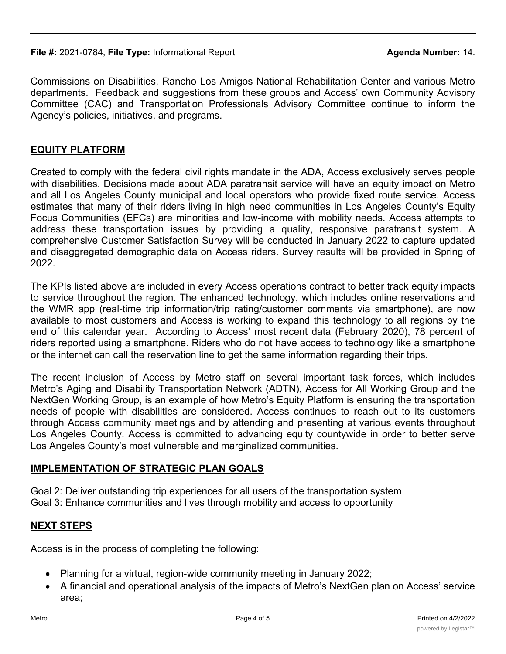Commissions on Disabilities, Rancho Los Amigos National Rehabilitation Center and various Metro departments. Feedback and suggestions from these groups and Access' own Community Advisory Committee (CAC) and Transportation Professionals Advisory Committee continue to inform the Agency's policies, initiatives, and programs.

# **EQUITY PLATFORM**

Created to comply with the federal civil rights mandate in the ADA, Access exclusively serves people with disabilities. Decisions made about ADA paratransit service will have an equity impact on Metro and all Los Angeles County municipal and local operators who provide fixed route service. Access estimates that many of their riders living in high need communities in Los Angeles County's Equity Focus Communities (EFCs) are minorities and low-income with mobility needs. Access attempts to address these transportation issues by providing a quality, responsive paratransit system. A comprehensive Customer Satisfaction Survey will be conducted in January 2022 to capture updated and disaggregated demographic data on Access riders. Survey results will be provided in Spring of 2022.

The KPIs listed above are included in every Access operations contract to better track equity impacts to service throughout the region. The enhanced technology, which includes online reservations and the WMR app (real-time trip information/trip rating/customer comments via smartphone), are now available to most customers and Access is working to expand this technology to all regions by the end of this calendar year. According to Access' most recent data (February 2020), 78 percent of riders reported using a smartphone. Riders who do not have access to technology like a smartphone or the internet can call the reservation line to get the same information regarding their trips.

The recent inclusion of Access by Metro staff on several important task forces, which includes Metro's Aging and Disability Transportation Network (ADTN), Access for All Working Group and the NextGen Working Group, is an example of how Metro's Equity Platform is ensuring the transportation needs of people with disabilities are considered. Access continues to reach out to its customers through Access community meetings and by attending and presenting at various events throughout Los Angeles County. Access is committed to advancing equity countywide in order to better serve Los Angeles County's most vulnerable and marginalized communities.

# **IMPLEMENTATION OF STRATEGIC PLAN GOALS**

Goal 2: Deliver outstanding trip experiences for all users of the transportation system Goal 3: Enhance communities and lives through mobility and access to opportunity

# **NEXT STEPS**

Access is in the process of completing the following:

- · Planning for a virtual, region-wide community meeting in January 2022;
- · A financial and operational analysis of the impacts of Metro's NextGen plan on Access' service area;